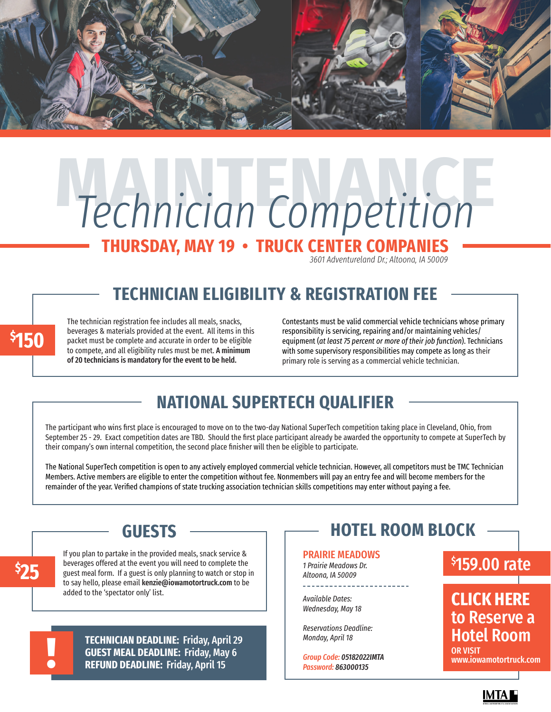

# **MAINTENANCE** *Technician Competition*

# **THURSDAY, MAY 19 • TRUCK CENTER COMPANIES**

*3601 Adventureland Dr.; Altoona, IA 50009*

# **TECHNICIAN ELIGIBILITY & REGISTRATION FEE**

The technician registration fee includes all meals, snacks, beverages & materials provided at the event. All items in this packet must be complete and accurate in order to be eligible to compete, and all eligibility rules must be met. A minimum of 20 technicians is mandatory for the event to be held.

Contestants must be valid commercial vehicle technicians whose primary responsibility is servicing, repairing and/or maintaining vehicles/ equipment (*at least 75 percent or more of their job function*). Technicians with some supervisory responsibilities may compete as long as their primary role is serving as a commercial vehicle technician.

# **NATIONAL SUPERTECH QUALIFIER**

The participant who wins first place is encouraged to move on to the two-day National SuperTech competition taking place in Cleveland, Ohio, from September 25 - 29. Exact competition dates are TBD. Should the first place participant already be awarded the opportunity to compete at SuperTech by their company's own internal competition, the second place finisher will then be eligible to participate.

The National SuperTech competition is open to any actively employed commercial vehicle technician. However, all competitors must be TMC Technician Members. Active members are eligible to enter the competition without fee. Nonmembers will pay an entry fee and will become members for the remainder of the year. Verified champions of state trucking association technician skills competitions may enter without paying a fee.

## **GUESTS**

If you plan to partake in the provided meals, snack service & beverages offered at the event you will need to complete the guest meal form. If a guest is only planning to watch or stop in to say hello, please email kenzie@iowamotortruck.com to be added to the 'spectator only' list.

> **TECHNICIAN DEADLINE:** Friday, April 29 **GUEST MEAL DEADLINE:** Friday, May 6 **REFUND DEADLINE:** Friday, April 15

!

**\$ 25**

**\$ 150**

# **HOTEL ROOM BLOCK**

#### PRAIRIE MEADOWS

*1 Prairie Meadows Dr. Altoona, IA 50009* \_\_\_\_\_\_\_\_\_\_\_\_\_\_\_\_\_\_\_\_\_\_

*Available Dates: Wednesday, May 18*

*Reservations Deadline: Monday, April 18*

*Group Code: 05182022IMTA Password: 863000135*

### \$ 159.00 rate

**CLICK HERE**  [to Reserve a](https://book.rguest.com/onecart/wbe/group/1609/PrairieMeadowsRacetrackandCasino/auth)  Hotel Room OR VISIT

www.iowamotortruck.com

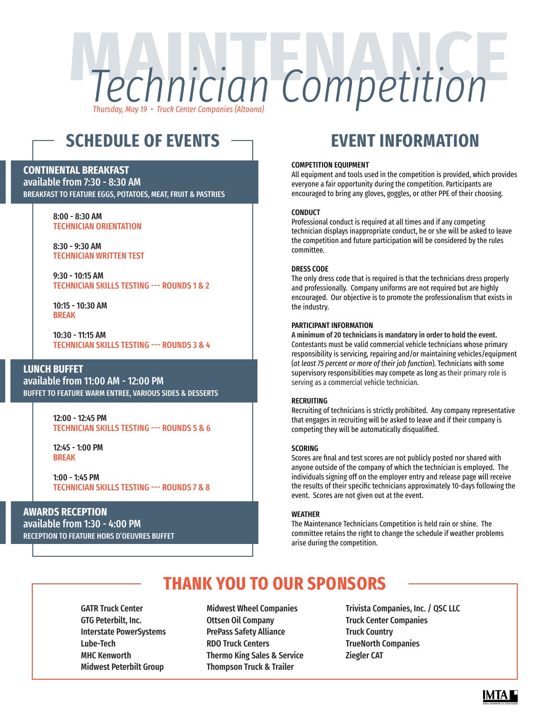# **Mechnician Competition** Technician Competition *Thursday, May 19 • Truck Center Companies (Altoona)*

# **SCHEDULE OF EVENTS**

#### **CONTINENTAL BREAKFAST**

available from 7:30 - 8:30 AM BREAKFAST TO FEATURE EGGS, POTATOES, MEAT, FRUIT & PASTRIES

#### 8:00 - 8:30 AM TECHNICIAN ORIENTATION

8:30 - 9:30 AM TECHNICIAN WRITTEN TEST

9:30 - 10:15 AM TECHNICIAN SKILLS TESTING --- ROUNDS 1 & 2

10:15 - 10:30 AM BREAK

10:30 - 11:15 AM TECHNICIAN SKILLS TESTING --- ROUNDS 3 & 4

#### **LUNCH BUFFET**

available from 11:00 AM - 12:00 PM BUFFET TO FEATURE WARM ENTREE, VARIOUS SIDES & DESSERTS

> 12:00 - 12:45 PM TECHNICIAN SKILLS TESTING --- ROUNDS 5 & 6

12:45 - 1:00 PM BREAK

1:00 - 1:45 PM TECHNICIAN SKILLS TESTING --- ROUNDS 7 & 8

#### **AWARDS RECEPTION**

available from 1:30 - 4:00 PM RECEPTION TO FEATURE HORS D'OEUVRES BUFFET

# **EVENT INFORMATION**

#### COMPETITION EQUIPMENT

All equipment and tools used in the competition is provided, which provides everyone a fair opportunity during the competition. Participants are encouraged to bring any gloves, goggles, or other PPE of their choosing.

#### **CONDUCT**

Professional conduct is required at all times and if any competing technician displays inappropriate conduct, he or she will be asked to leave the competition and future participation will be considered by the rules committee.

#### DRESS CODE

The only dress code that is required is that the technicians dress properly and professionally. Company uniforms are not required but are highly encouraged. Our objective is to promote the professionalism that exists in the industry.

#### PARTICIPANT INFORMATION

A minimum of 20 technicians is mandatory in order to hold the event. Contestants must be valid commercial vehicle technicians whose primary responsibility is servicing, repairing and/or maintaining vehicles/equipment (*at least 75 percent or more of their job function*). Technicians with some supervisory responsibilities may compete as long as their primary role is serving as a commercial vehicle technician.

#### RECRUITING

Recruiting of technicians is strictly prohibited. Any company representative that engages in recruiting will be asked to leave and if their company is competing they will be automatically disqualified.

#### SCORING

Scores are final and test scores are not publicly posted nor shared with anyone outside of the company of which the technician is employed. The individuals signing off on the employer entry and release page will receive the results of their specific technicians approximately 10-days following the event. Scores are not given out at the event.

#### WEATHER

The Maintenance Technicians Competition is held rain or shine. The committee retains the right to change the schedule if weather problems arise during the competition.

# **THANK YOU TO OUR SPONSORS**

GATR Truck Center GTG Peterbilt, Inc. Interstate PowerSystems Lube-Tech MHC Kenworth Midwest Peterbilt Group

Midwest Wheel Companies Ottsen Oil Company PrePass Safety Alliance [RDO Truck Centers](https://www.rdotruckcenter.com/) Thermo King Sales & Service Thompson Truck & Trailer

Trivista Companies, Inc. / QSC LLC Truck Center Companies Truck Country TrueNorth Companies [Ziegler CAT](https://www.zieglercat.com/)

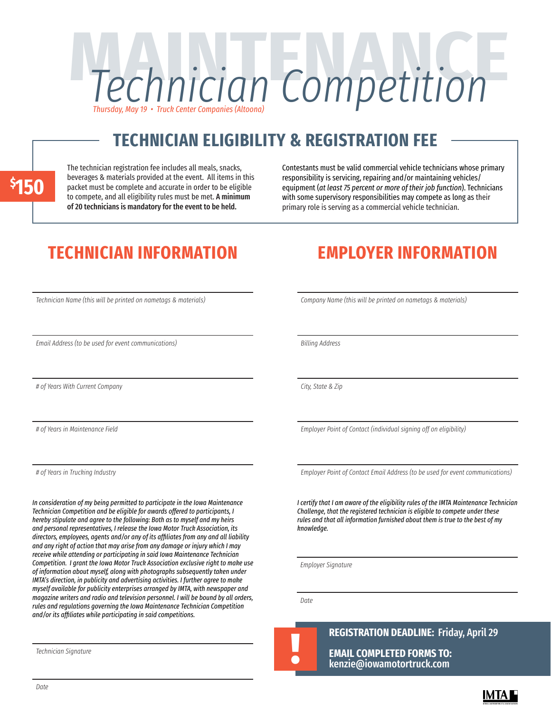# **MAINTENANCE** *Technician Competition Thursday, May 19 • Truck Center Companies (Altoona)*

# **TECHNICIAN ELIGIBILITY & REGISTRATION FEE**

**\$ 150** The technician registration fee includes all meals, snacks, beverages & materials provided at the event. All items in this packet must be complete and accurate in order to be eligible to compete, and all eligibility rules must be met. A minimum of 20 technicians is mandatory for the event to be held.

Contestants must be valid commercial vehicle technicians whose primary responsibility is servicing, repairing and/or maintaining vehicles/ equipment (*at least 75 percent or more of their job function*). Technicians with some supervisory responsibilities may compete as long as their primary role is serving as a commercial vehicle technician.

# **TECHNICIAN INFORMATION EMPLOYER INFORMATION**

*Company Name (this will be printed on nametags & materials)*

*Billing Address*

*City, State & Zip*

*Employer Point of Contact (individual signing off on eligibility)*

*Employer Point of Contact Email Address (to be used for event communications)*

*I certify that I am aware of the eligibility rules of the IMTA Maintenance Technician Challenge, that the registered technician is eligible to compete under these rules and that all information furnished about them is true to the best of my knowledge.*

*Employer Signature*

*Date*

! **REGISTRATION DEADLINE:** Friday, April 29 **EMAIL COMPLETED FORMS TO:**  kenzie@iowamotortruck.com

*Technician Name (this will be printed on nametags & materials)*

*Email Address (to be used for event communications)*

*# of Years With Current Company*

*# of Years in Maintenance Field*

*# of Years in Trucking Industry*

*In consideration of my being permitted to participate in the Iowa Maintenance Technician Competition and be eligible for awards offered to participants, I hereby stipulate and agree to the following: Both as to myself and my heirs and personal representatives, I release the Iowa Motor Truck Association, its directors, employees, agents and/or any of its affiliates from any and all liability and any right of action that may arise from any damage or injury which I may receive while attending or participating in said Iowa Maintenance Technician Competition. I grant the Iowa Motor Truck Association exclusive right to make use of information about myself, along with photographs subsequently taken under IMTA's direction, in publicity and advertising activities. I further agree to make myself available for publicity enterprises arranged by IMTA, with newspaper and magazine writers and radio and television personnel. I will be bound by all orders, rules and regulations governing the Iowa Maintenance Technician Competition and/or its affiliates while participating in said competitions.*

*Technician Signature*

IMTA |